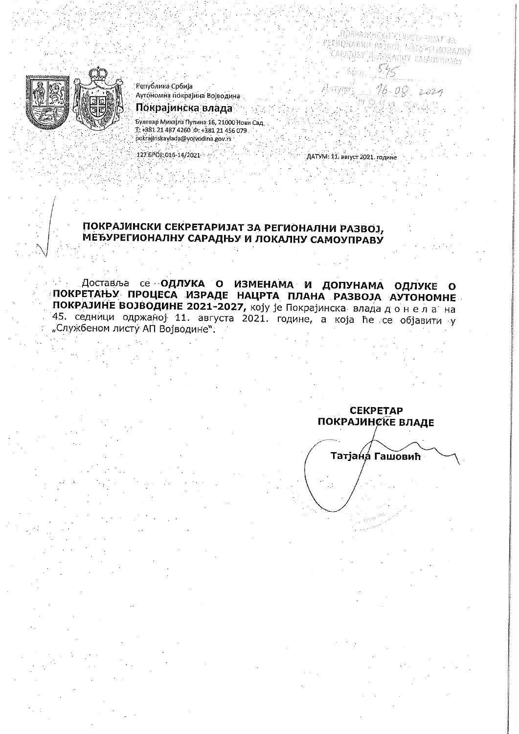IOAPA*IMHCKH CLRP* РЕГИОНАЛИИ РАЗВОЕ, МЕБУРЕГИОНАЛНУ САРАДЊУ И ЛОКАЛНУ САМОУПРАВУ

 $16.08.2029$ 



Република Србија Аутономна покрајина Војводина

Покрајинска влада

Булевар Михајла Пупина 16, 21000 Нови Сад T. +381 21 487 4260 : 0: +381 21 456 079<br>Dokrajinskavlada@yojvodina.gov.rs

127.6POJ: 016-14/2021

ДАТУМ: 11. август 2021. године

Antywe

# ПОКРАЈИНСКИ СЕКРЕТАРИЈАТ ЗА РЕГИОНАЛНИ РАЗВОЈ, МЕЂУРЕГИОНАЛНУ САРАДЊУ И ЛОКАЛНУ САМОУПРАВУ

Доставља се **ОДЛУКА О ИЗМЕНАМА И ДОПУНАМА ОДЛУКЕ О** ПОКРЕТАЊУ ПРОЦЕСА ИЗРАДЕ НАЦРТА ПЛАНА РАЗВОЈА АУТОНОМНЕ ПОКРАЈИНЕ ВОЈВОДИНЕ 2021-2027, коју је Покрајинска влада до нела на 45. седници одржаној 11. августа 2021. године, а која ће се објавити у "Службеном листу АП Војводине".

**CEKPETAP ПОКРАЈИНСКЕ ВЛАДЕ** 

Татјана Гашовић